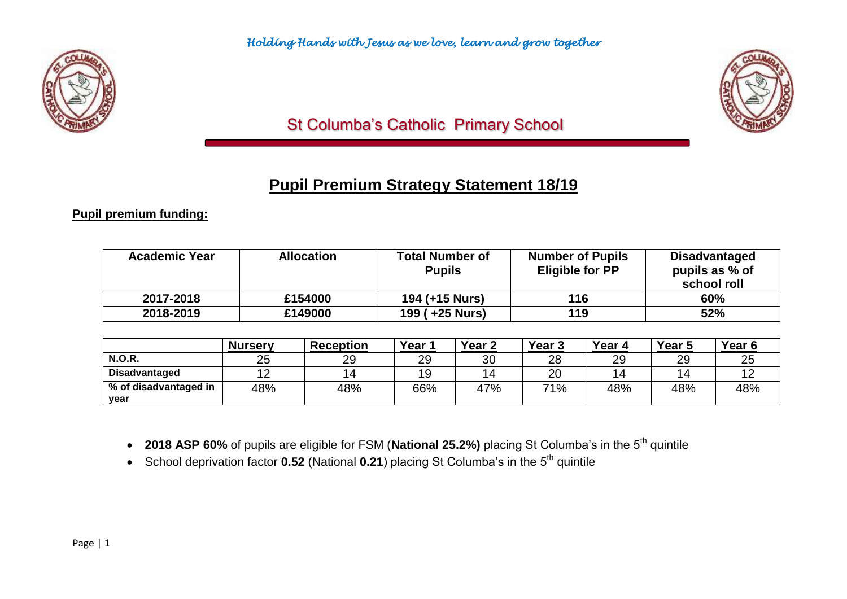



# St Columba's Catholic Primary School

# **Pupil Premium Strategy Statement 18/19**

**Pupil premium funding:**

| <b>Academic Year</b> | <b>Allocation</b> | <b>Total Number of</b><br><b>Pupils</b> | <b>Number of Pupils</b><br><b>Eligible for PP</b> | <b>Disadvantaged</b><br>pupils as % of<br>school roll |
|----------------------|-------------------|-----------------------------------------|---------------------------------------------------|-------------------------------------------------------|
| 2017-2018            | £154000           | 194 (+15 Nurs)                          | 116                                               | 60%                                                   |
| 2018-2019            | £149000           | 199 (+25 Nurs)                          | 119                                               | 52%                                                   |

|                       | <b>Nursery</b> | <b>Reception</b> | Year ′ | Year 2         | Year <sub>3</sub> | Year 4 | Year 5         | Year b       |
|-----------------------|----------------|------------------|--------|----------------|-------------------|--------|----------------|--------------|
| <b>N.O.R.</b>         | 25             | 29               | 29     | 30             | 28                | 29     | 29             | $\sim$<br>∠ວ |
| <b>Disadvantaged</b>  | ⊿ ∩            |                  | 19     | $\overline{a}$ | 20                | 4      | $\overline{4}$ |              |
| % of disadvantaged in | 48%            | 48%              | 66%    | 47%            | 71%               | 48%    | 48%            | 48%          |
| year                  |                |                  |        |                |                   |        |                |              |

- 2018 ASP 60% of pupils are eligible for FSM (National 25.2%) placing St Columba's in the 5<sup>th</sup> quintile
- School deprivation factor **0.52** (National 0.21) placing St Columba's in the 5<sup>th</sup> quintile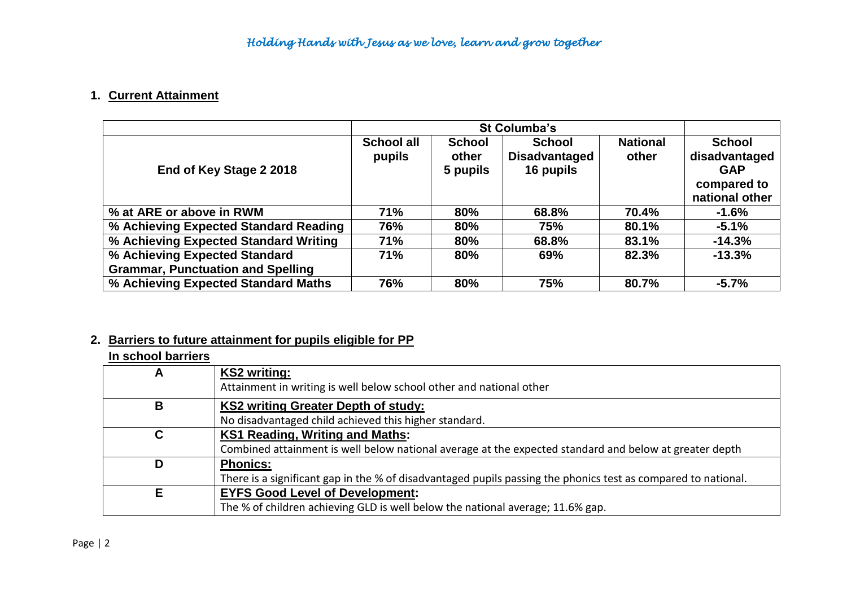## **1. Current Attainment**

|                                          |                             | St Columba's                       |                                                    |                          |                                                                               |  |  |
|------------------------------------------|-----------------------------|------------------------------------|----------------------------------------------------|--------------------------|-------------------------------------------------------------------------------|--|--|
| End of Key Stage 2 2018                  | <b>School all</b><br>pupils | <b>School</b><br>other<br>5 pupils | <b>School</b><br><b>Disadvantaged</b><br>16 pupils | <b>National</b><br>other | <b>School</b><br>disadvantaged<br><b>GAP</b><br>compared to<br>national other |  |  |
| % at ARE or above in RWM                 | <b>71%</b>                  | 80%                                | 68.8%                                              | 70.4%                    | $-1.6%$                                                                       |  |  |
| % Achieving Expected Standard Reading    | 76%                         | 80%                                | 75%                                                | 80.1%                    | $-5.1%$                                                                       |  |  |
| % Achieving Expected Standard Writing    | 71%                         | 80%                                | 68.8%                                              | 83.1%                    | $-14.3%$                                                                      |  |  |
| % Achieving Expected Standard            | 71%                         | 80%                                | 69%                                                | 82.3%                    | $-13.3%$                                                                      |  |  |
| <b>Grammar, Punctuation and Spelling</b> |                             |                                    |                                                    |                          |                                                                               |  |  |
| % Achieving Expected Standard Maths      | 76%                         | 80%                                | 75%                                                | 80.7%                    | $-5.7%$                                                                       |  |  |

# **2. Barriers to future attainment for pupils eligible for PP**

### **In school barriers**

| А | <b>KS2 writing:</b><br>Attainment in writing is well below school other and national other                    |
|---|---------------------------------------------------------------------------------------------------------------|
| B | <b>KS2 writing Greater Depth of study:</b>                                                                    |
|   | No disadvantaged child achieved this higher standard.                                                         |
|   | <b>KS1 Reading, Writing and Maths:</b>                                                                        |
|   | Combined attainment is well below national average at the expected standard and below at greater depth        |
| D | <b>Phonics:</b>                                                                                               |
|   | There is a significant gap in the % of disadvantaged pupils passing the phonics test as compared to national. |
| Е | <b>EYFS Good Level of Development:</b>                                                                        |
|   | The % of children achieving GLD is well below the national average; 11.6% gap.                                |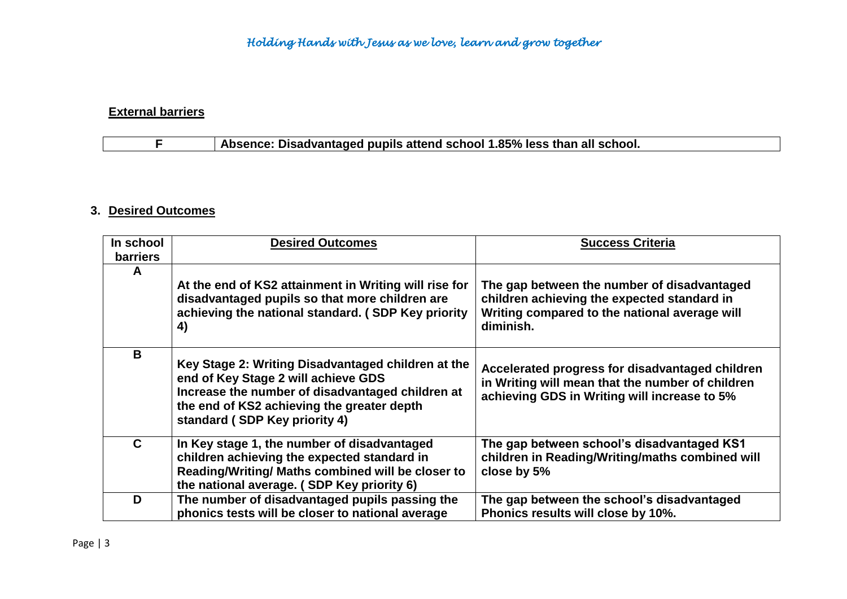# **External barriers**

# **F Absence: Disadvantaged pupils attend school 1.85% less than all school.**

#### **3. Desired Outcomes**

| In school<br><b>barriers</b> | <b>Desired Outcomes</b>                                                                                                                                                                                                      | <b>Success Criteria</b>                                                                                                                                  |
|------------------------------|------------------------------------------------------------------------------------------------------------------------------------------------------------------------------------------------------------------------------|----------------------------------------------------------------------------------------------------------------------------------------------------------|
| A                            | At the end of KS2 attainment in Writing will rise for<br>disadvantaged pupils so that more children are<br>achieving the national standard. (SDP Key priority<br>4)                                                          | The gap between the number of disadvantaged<br>children achieving the expected standard in<br>Writing compared to the national average will<br>diminish. |
| B                            | Key Stage 2: Writing Disadvantaged children at the<br>end of Key Stage 2 will achieve GDS<br>Increase the number of disadvantaged children at<br>the end of KS2 achieving the greater depth<br>standard (SDP Key priority 4) | Accelerated progress for disadvantaged children<br>in Writing will mean that the number of children<br>achieving GDS in Writing will increase to 5%      |
| $\mathbf{C}$                 | In Key stage 1, the number of disadvantaged<br>children achieving the expected standard in<br>Reading/Writing/ Maths combined will be closer to<br>the national average. (SDP Key priority 6)                                | The gap between school's disadvantaged KS1<br>children in Reading/Writing/maths combined will<br>close by 5%                                             |
| D                            | The number of disadvantaged pupils passing the<br>phonics tests will be closer to national average                                                                                                                           | The gap between the school's disadvantaged<br>Phonics results will close by 10%.                                                                         |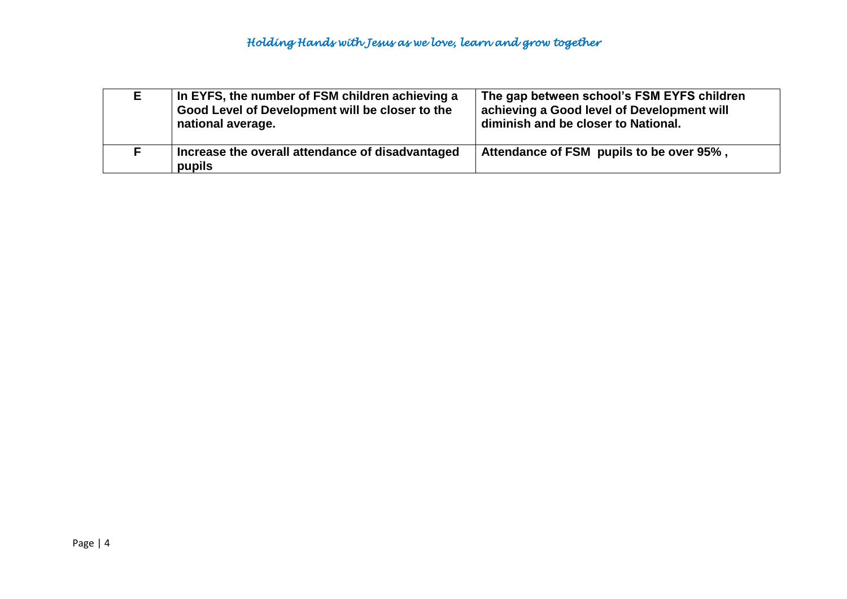| E. | In EYFS, the number of FSM children achieving a<br>Good Level of Development will be closer to the<br>national average. | The gap between school's FSM EYFS children<br>achieving a Good level of Development will<br>diminish and be closer to National. |
|----|-------------------------------------------------------------------------------------------------------------------------|---------------------------------------------------------------------------------------------------------------------------------|
|    | Increase the overall attendance of disadvantaged<br>pupils                                                              | Attendance of FSM pupils to be over 95%,                                                                                        |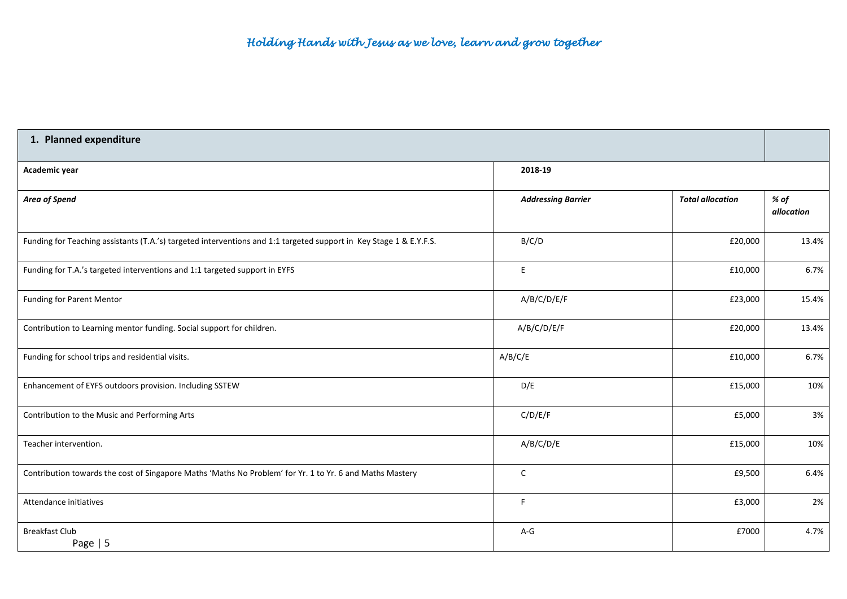| 1. Planned expenditure                                                                                             |                           |                         |                    |  |  |
|--------------------------------------------------------------------------------------------------------------------|---------------------------|-------------------------|--------------------|--|--|
| Academic year                                                                                                      | 2018-19                   |                         |                    |  |  |
| Area of Spend                                                                                                      | <b>Addressing Barrier</b> | <b>Total allocation</b> | % of<br>allocation |  |  |
| Funding for Teaching assistants (T.A.'s) targeted interventions and 1:1 targeted support in Key Stage 1 & E.Y.F.S. | B/C/D                     | £20,000                 | 13.4%              |  |  |
| Funding for T.A.'s targeted interventions and 1:1 targeted support in EYFS                                         | $\mathsf E$               | £10,000                 | 6.7%               |  |  |
| <b>Funding for Parent Mentor</b>                                                                                   | A/B/C/D/E/F               | £23,000                 | 15.4%              |  |  |
| Contribution to Learning mentor funding. Social support for children.                                              | A/B/C/D/E/F               | £20,000                 | 13.4%              |  |  |
| Funding for school trips and residential visits.                                                                   | A/B/C/E                   | £10,000                 | 6.7%               |  |  |
| Enhancement of EYFS outdoors provision. Including SSTEW                                                            | D/E                       | £15,000                 | 10%                |  |  |
| Contribution to the Music and Performing Arts                                                                      | C/D/E/F                   | £5,000                  | 3%                 |  |  |
| Teacher intervention.                                                                                              | A/B/C/D/E                 | £15,000                 | 10%                |  |  |
| Contribution towards the cost of Singapore Maths 'Maths No Problem' for Yr. 1 to Yr. 6 and Maths Mastery           | $\mathsf{C}$              | £9,500                  | 6.4%               |  |  |
| Attendance initiatives                                                                                             | F.                        | £3,000                  | 2%                 |  |  |
| <b>Breakfast Club</b><br>Page $  5$                                                                                | $A-G$                     | £7000                   | 4.7%               |  |  |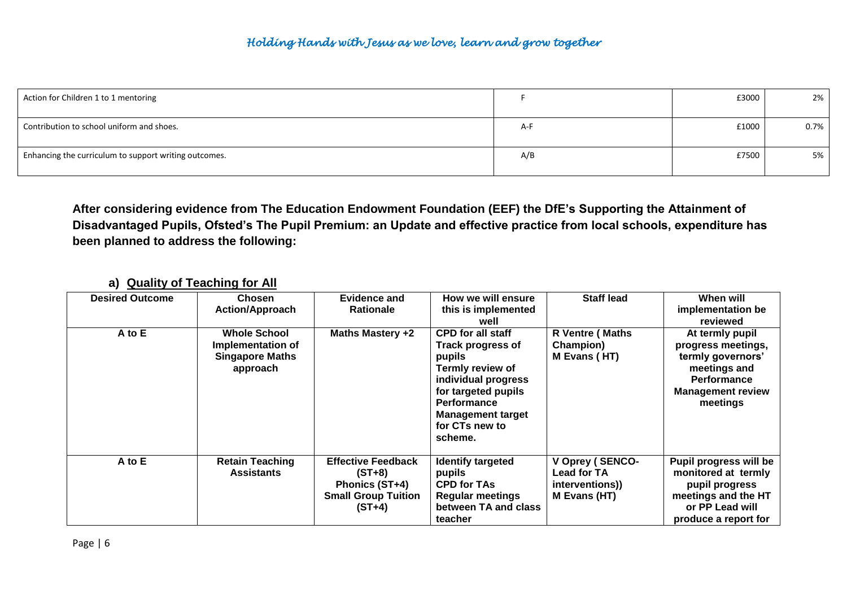| Action for Children 1 to 1 mentoring                  |     | £3000 | 2%   |
|-------------------------------------------------------|-----|-------|------|
| Contribution to school uniform and shoes.             | A-F | £1000 | 0.7% |
| Enhancing the curriculum to support writing outcomes. | A/B | £7500 | 5%   |

**After considering evidence from The Education Endowment Foundation (EEF) the DfE's Supporting the Attainment of Disadvantaged Pupils, Ofsted's The Pupil Premium: an Update and effective practice from local schools, expenditure has been planned to address the following:**

| <b>Desired Outcome</b> | <b>Chosen</b><br><b>Action/Approach</b>                                        | <b>Evidence and</b><br><b>Rationale</b>                                                           | How we will ensure<br>this is implemented<br>well                                                                                                                                                               | <b>Staff lead</b>                                                        | When will<br>implementation be<br>reviewed                                                                                        |
|------------------------|--------------------------------------------------------------------------------|---------------------------------------------------------------------------------------------------|-----------------------------------------------------------------------------------------------------------------------------------------------------------------------------------------------------------------|--------------------------------------------------------------------------|-----------------------------------------------------------------------------------------------------------------------------------|
| A to E                 | <b>Whole School</b><br>Implementation of<br><b>Singapore Maths</b><br>approach | <b>Maths Mastery +2</b>                                                                           | <b>CPD for all staff</b><br><b>Track progress of</b><br>pupils<br>Termly review of<br>individual progress<br>for targeted pupils<br><b>Performance</b><br><b>Management target</b><br>for CTs new to<br>scheme. | R Ventre (Maths<br>Champion)<br>M Evans (HT)                             | At termly pupil<br>progress meetings,<br>termly governors'<br>meetings and<br>Performance<br><b>Management review</b><br>meetings |
| A to E                 | <b>Retain Teaching</b><br><b>Assistants</b>                                    | <b>Effective Feedback</b><br>$(ST+8)$<br>Phonics (ST+4)<br><b>Small Group Tuition</b><br>$(ST+4)$ | <b>Identify targeted</b><br>pupils<br><b>CPD for TAs</b><br><b>Regular meetings</b><br>between TA and class<br>teacher                                                                                          | V Oprey (SENCO-<br><b>Lead for TA</b><br>interventions))<br>M Evans (HT) | Pupil progress will be<br>monitored at termly<br>pupil progress<br>meetings and the HT<br>or PP Lead will<br>produce a report for |

#### **a) Quality of Teaching for All**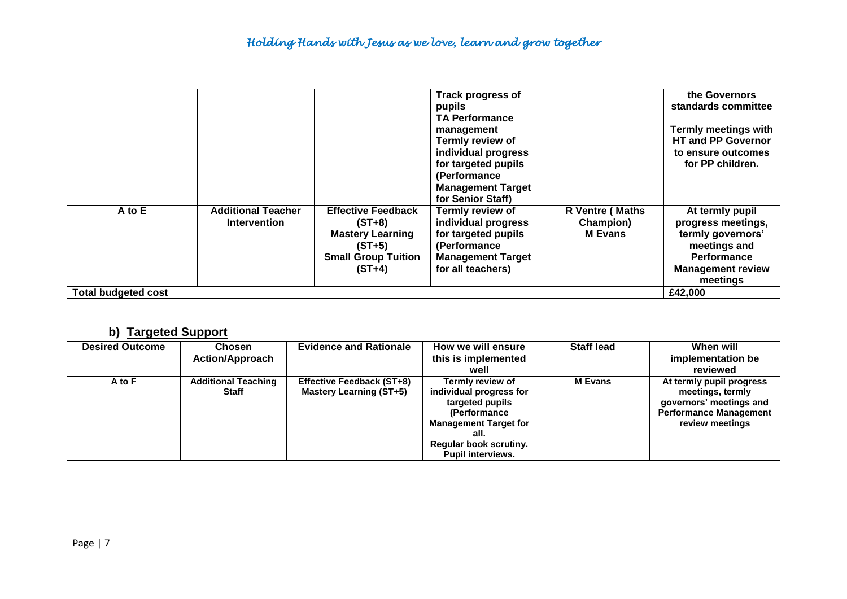|                            |                                                  |                                                                                                                        | <b>Track progress of</b><br>pupils<br><b>TA Performance</b><br>management<br><b>Termly review of</b><br>individual progress<br>for targeted pupils<br>(Performance<br><b>Management Target</b><br>for Senior Staff) |                                                | the Governors<br>standards committee<br><b>Termly meetings with</b><br><b>HT and PP Governor</b><br>to ensure outcomes<br>for PP children. |
|----------------------------|--------------------------------------------------|------------------------------------------------------------------------------------------------------------------------|---------------------------------------------------------------------------------------------------------------------------------------------------------------------------------------------------------------------|------------------------------------------------|--------------------------------------------------------------------------------------------------------------------------------------------|
| A to E                     | <b>Additional Teacher</b><br><b>Intervention</b> | <b>Effective Feedback</b><br>$(ST+8)$<br><b>Mastery Learning</b><br>$(ST+5)$<br><b>Small Group Tuition</b><br>$(ST+4)$ | Termly review of<br>individual progress<br>for targeted pupils<br>(Performance<br><b>Management Target</b><br>for all teachers)                                                                                     | R Ventre (Maths<br>Champion)<br><b>M</b> Evans | At termly pupil<br>progress meetings,<br>termly governors'<br>meetings and<br>Performance<br><b>Management review</b><br>meetings          |
| <b>Total budgeted cost</b> |                                                  |                                                                                                                        |                                                                                                                                                                                                                     |                                                | £42,000                                                                                                                                    |

# **b) Targeted Support**

| <b>Desired Outcome</b> | Chosen                              | <b>Evidence and Rationale</b>                        | How we will ensure                                                                                                                                                           | <b>Staff lead</b> | When will                                                                                                                   |
|------------------------|-------------------------------------|------------------------------------------------------|------------------------------------------------------------------------------------------------------------------------------------------------------------------------------|-------------------|-----------------------------------------------------------------------------------------------------------------------------|
|                        | <b>Action/Approach</b>              |                                                      | this is implemented                                                                                                                                                          |                   | implementation be                                                                                                           |
|                        |                                     |                                                      | well                                                                                                                                                                         |                   | reviewed                                                                                                                    |
| A to F                 | <b>Additional Teaching</b><br>Staff | Effective Feedback (ST+8)<br>Mastery Learning (ST+5) | Termly review of<br>individual progress for<br>targeted pupils<br>(Performance<br><b>Management Target for</b><br>all.<br>Regular book scrutiny.<br><b>Pupil interviews.</b> | <b>M</b> Evans    | At termly pupil progress<br>meetings, termly<br>governors' meetings and<br><b>Performance Management</b><br>review meetings |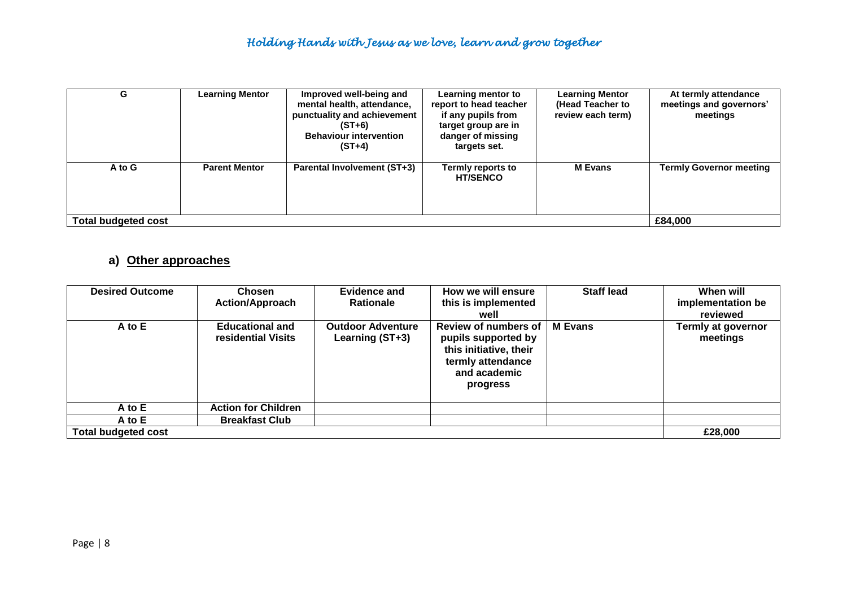| G                   | <b>Learning Mentor</b> | Improved well-being and<br>mental health, attendance,<br>punctuality and achievement<br>$(ST+6)$<br><b>Behaviour intervention</b><br>$(ST+4)$ | Learning mentor to<br>report to head teacher<br>if any pupils from<br>target group are in<br>danger of missing<br>targets set. | <b>Learning Mentor</b><br>(Head Teacher to<br>review each term) | At termly attendance<br>meetings and governors'<br>meetings |  |  |
|---------------------|------------------------|-----------------------------------------------------------------------------------------------------------------------------------------------|--------------------------------------------------------------------------------------------------------------------------------|-----------------------------------------------------------------|-------------------------------------------------------------|--|--|
| A to G              | <b>Parent Mentor</b>   | <b>Parental Involvement (ST+3)</b>                                                                                                            | Termly reports to<br><b>HT/SENCO</b>                                                                                           | <b>M</b> Evans                                                  | <b>Termly Governor meeting</b>                              |  |  |
| Total budgeted cost |                        |                                                                                                                                               |                                                                                                                                |                                                                 |                                                             |  |  |

## **a) Other approaches**

| <b>Desired Outcome</b>     | <b>Chosen</b><br><b>Action/Approach</b>      | Evidence and<br><b>Rationale</b>            | How we will ensure<br>this is implemented<br>well                                                                      | <b>Staff lead</b> | When will<br>implementation be<br>reviewed |
|----------------------------|----------------------------------------------|---------------------------------------------|------------------------------------------------------------------------------------------------------------------------|-------------------|--------------------------------------------|
| A to E                     | <b>Educational and</b><br>residential Visits | <b>Outdoor Adventure</b><br>Learning (ST+3) | Review of numbers of<br>pupils supported by<br>this initiative, their<br>termly attendance<br>and academic<br>progress | <b>M</b> Evans    | Termly at governor<br>meetings             |
| A to E                     | <b>Action for Children</b>                   |                                             |                                                                                                                        |                   |                                            |
| A to E                     | <b>Breakfast Club</b>                        |                                             |                                                                                                                        |                   |                                            |
| <b>Total budgeted cost</b> |                                              |                                             |                                                                                                                        |                   | £28,000                                    |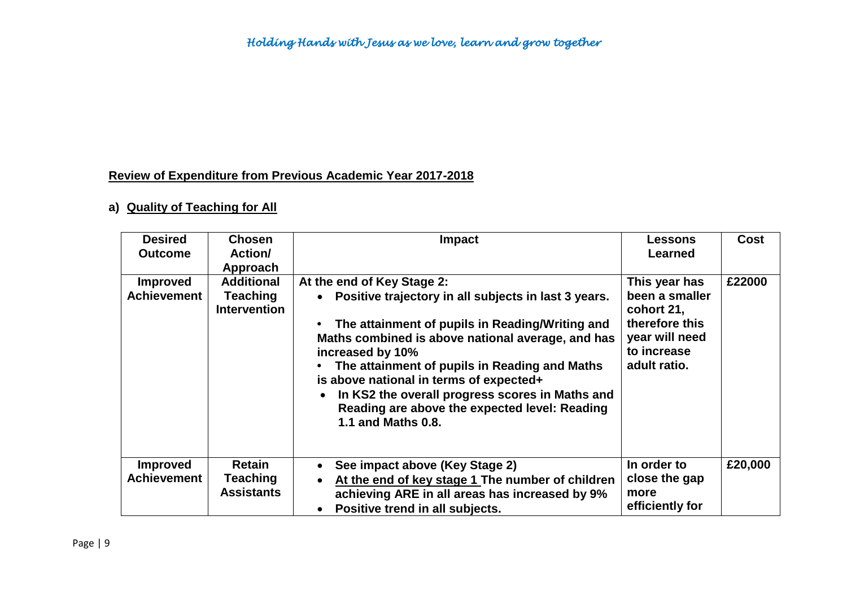# **Review of Expenditure from Previous Academic Year 2017-2018**

# **a) Quality of Teaching for All**

| <b>Desired</b><br><b>Outcome</b>      | <b>Chosen</b><br><b>Action/</b><br>Approach                 | <b>Impact</b>                                                                                                                                                                                                                                                                                                                                                                                                                                            | <b>Lessons</b><br><b>Learned</b>                                                                                 | <b>Cost</b> |
|---------------------------------------|-------------------------------------------------------------|----------------------------------------------------------------------------------------------------------------------------------------------------------------------------------------------------------------------------------------------------------------------------------------------------------------------------------------------------------------------------------------------------------------------------------------------------------|------------------------------------------------------------------------------------------------------------------|-------------|
| <b>Improved</b><br><b>Achievement</b> | <b>Additional</b><br><b>Teaching</b><br><b>Intervention</b> | At the end of Key Stage 2:<br>Positive trajectory in all subjects in last 3 years.<br>$\bullet$<br>The attainment of pupils in Reading/Writing and<br>Maths combined is above national average, and has<br>increased by 10%<br>The attainment of pupils in Reading and Maths<br>is above national in terms of expected+<br>In KS2 the overall progress scores in Maths and<br>Reading are above the expected level: Reading<br><b>1.1 and Maths 0.8.</b> | This year has<br>been a smaller<br>cohort 21,<br>therefore this<br>year will need<br>to increase<br>adult ratio. | £22000      |
| <b>Improved</b><br><b>Achievement</b> | <b>Retain</b><br><b>Teaching</b><br><b>Assistants</b>       | See impact above (Key Stage 2)<br>$\bullet$<br>At the end of key stage 1 The number of children<br>achieving ARE in all areas has increased by 9%<br>Positive trend in all subjects.                                                                                                                                                                                                                                                                     | In order to<br>close the gap<br>more<br>efficiently for                                                          | £20,000     |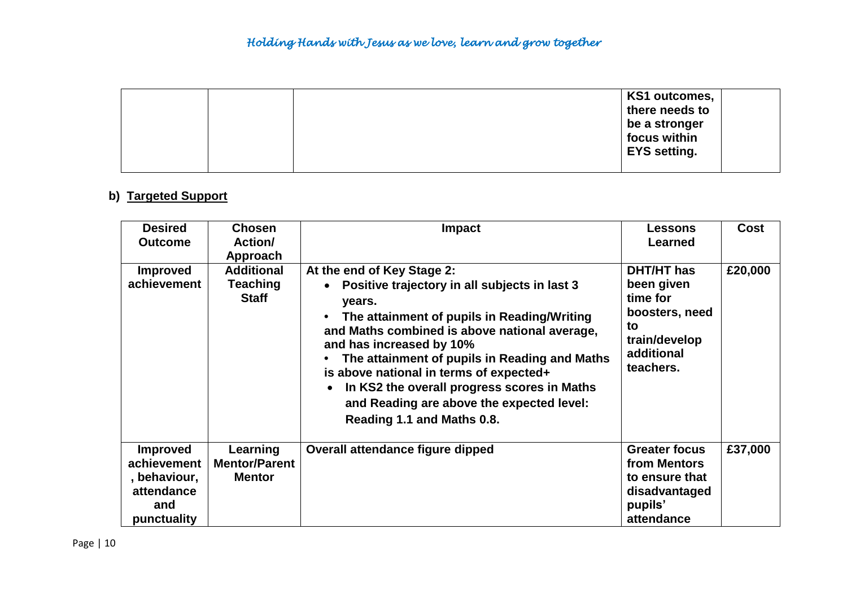| KS1 outcomes,       |
|---------------------|
| there needs to      |
| be a stronger       |
| focus within        |
| <b>EYS setting.</b> |
|                     |

## **b) Targeted Support**

| <b>Desired</b><br><b>Outcome</b>                                                   | <b>Chosen</b><br><b>Action/</b><br>Approach       | <b>Impact</b>                                                                                                                                                                                                                                                                                                                                                                                                                                                     | <b>Lessons</b><br><b>Learned</b>                                                                                | <b>Cost</b> |
|------------------------------------------------------------------------------------|---------------------------------------------------|-------------------------------------------------------------------------------------------------------------------------------------------------------------------------------------------------------------------------------------------------------------------------------------------------------------------------------------------------------------------------------------------------------------------------------------------------------------------|-----------------------------------------------------------------------------------------------------------------|-------------|
| <b>Improved</b><br>achievement                                                     | <b>Additional</b><br>Teaching<br><b>Staff</b>     | At the end of Key Stage 2:<br>Positive trajectory in all subjects in last 3<br>$\bullet$<br>years.<br>The attainment of pupils in Reading/Writing<br>and Maths combined is above national average,<br>and has increased by 10%<br>The attainment of pupils in Reading and Maths<br>$\bullet$<br>is above national in terms of expected+<br>In KS2 the overall progress scores in Maths<br>and Reading are above the expected level:<br>Reading 1.1 and Maths 0.8. | <b>DHT/HT</b> has<br>been given<br>time for<br>boosters, need<br>to<br>train/develop<br>additional<br>teachers. | £20,000     |
| <b>Improved</b><br>achievement<br>, behaviour,<br>attendance<br>and<br>punctuality | Learning<br><b>Mentor/Parent</b><br><b>Mentor</b> | Overall attendance figure dipped                                                                                                                                                                                                                                                                                                                                                                                                                                  | <b>Greater focus</b><br>from Mentors<br>to ensure that<br>disadvantaged<br>pupils'<br>attendance                | £37,000     |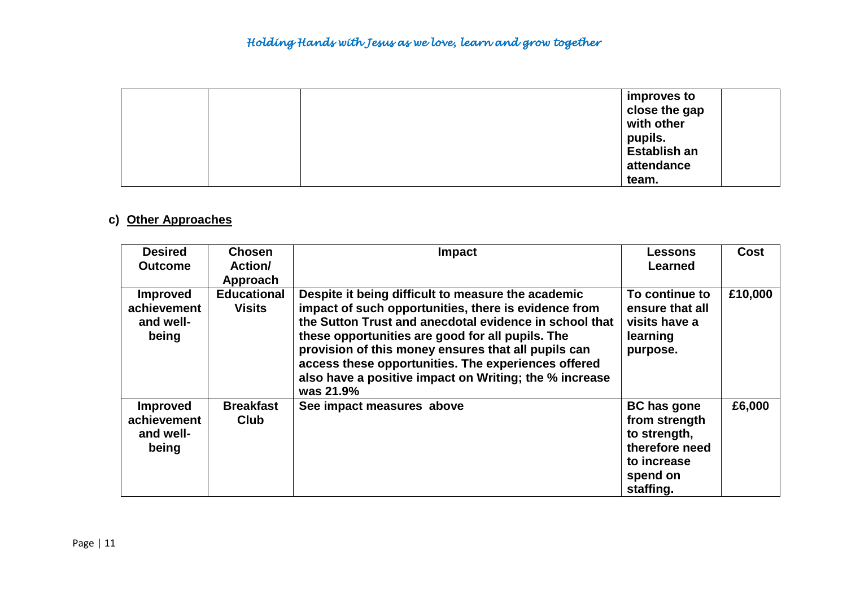|  | improves to         |  |
|--|---------------------|--|
|  | close the gap       |  |
|  | with other          |  |
|  | pupils.             |  |
|  | <b>Establish an</b> |  |
|  | attendance          |  |
|  | team.               |  |

# **c) Other Approaches**

| <b>Desired</b><br><b>Outcome</b>                     | <b>Chosen</b><br>Action/<br>Approach | <b>Impact</b>                                                                                                                                                                                                                                                                                                                                                                                                 | Lessons<br>Learned                                                                                            | Cost    |
|------------------------------------------------------|--------------------------------------|---------------------------------------------------------------------------------------------------------------------------------------------------------------------------------------------------------------------------------------------------------------------------------------------------------------------------------------------------------------------------------------------------------------|---------------------------------------------------------------------------------------------------------------|---------|
| <b>Improved</b><br>achievement<br>and well-<br>being | <b>Educational</b><br><b>Visits</b>  | Despite it being difficult to measure the academic<br>impact of such opportunities, there is evidence from<br>the Sutton Trust and anecdotal evidence in school that<br>these opportunities are good for all pupils. The<br>provision of this money ensures that all pupils can<br>access these opportunities. The experiences offered<br>also have a positive impact on Writing; the % increase<br>was 21.9% | To continue to<br>ensure that all<br>visits have a<br>learning<br>purpose.                                    | £10,000 |
| <b>Improved</b><br>achievement<br>and well-<br>being | <b>Breakfast</b><br><b>Club</b>      | See impact measures above                                                                                                                                                                                                                                                                                                                                                                                     | <b>BC has gone</b><br>from strength<br>to strength,<br>therefore need<br>to increase<br>spend on<br>staffing. | £6,000  |